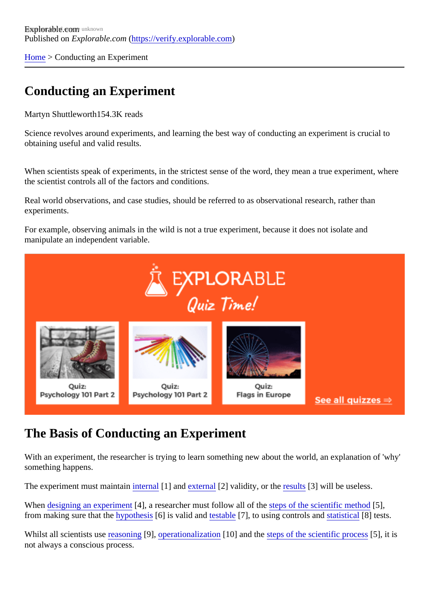[Home](https://verify.explorable.com/) > Conducting an Experiment

# Conducting an Experiment

Martyn Shuttleworth54.3K reads

Science revolves around experiments, and learning the best way of conducting an experiment is crucial to obtaining useful and valid results.

When scientists speak of experiments, in the strictest sense of the word, they mean a true experiment, where the scientist controls all of the factors and conditions.

Real world observations, and case studies, should be referred to as observational research, rather than experiments.

For example, observing animals in the wild is not a true experiment, because it does not isolate and manipulate an independent variable.

# The Basis of Conducting an Experiment

With an experiment, the researcher is trying to learn something new about the world, an explanation of 'wh something happens.

The experiment must maintainternal[1] an[d externa](https://verify.explorable.com/external-validity)l[2] validity, or th[e results](https://verify.explorable.com/statistically-significant-results)[3] will be useless.

Whendesigning an experiment, a researcher must follow all of the scientific method, from making sure that the *pothesis*[6] is valid and estable<sup>[7]</sup>, to using controls a[nd statistica](https://verify.explorable.com/statistics-tutorial)l [8] tests.

Whilst all scientists use easoning 9, [operationalizatio](https://verify.explorable.com/operationalization)n 10] and th[e steps of the scientific proce](https://verify.explorable.com/steps-of-the-scientific-method)ss, it is not always a conscious process.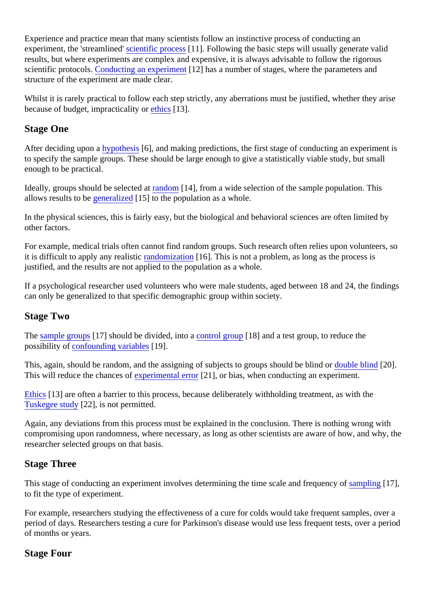Experience and practice mean that many scientists follow an instinctive process of conducting an experiment, the 'streamline dientific procest11]. Following the basic steps will usually generate valid results, but where experiments are complex and expensive, it is always advisable to follow the rigorous scientific protocolsConducting an experiment<sup>2</sup>] has a number of stages, where the parameters and structure of the experiment are made clear.

Whilst it is rarely practical to follow each step strictly, any aberrations must be justified, whether they arise because of budget, impracticality othics<sup>[13]</sup>.

### Stage One

After deciding upon **a** ypothesis 6], and making predictions, the first stage of conducting an experiment is to specify the sample groups. These should be large enough to give a statistically viable study, but small enough to be practical.

Ideally, groups should be selected at dom [14], from a wide selection of the sample population. This allows results to [be generalized](https://verify.explorable.com/what-is-generalization) 15] to the population as a whole.

In the physical sciences, this is fairly easy, but the biological and behavioral sciences are often limited by other factors.

For example, medical trials often cannot find random groups. Such research often relies upon volunteers, it is difficult to apply any realisticandomization 16]. This is not a problem, as long as the process is justified, and the results are not applied to the population as a whole.

If a psychological researcher used volunteers who were male students, aged between 18 and 24, the finding can only be generalized to that specific demographic group within society.

#### Stage Two

The [sample group](https://verify.explorable.com/what-is-sampling)s [7] should be divided, into control group[18] and a test group, to reduce the possibility of [confounding variable](https://verify.explorable.com/confounding-variables)s 9].

This, again, should be random, and the assigning of subjects to groups should bedaind applind 201. This will reduce the chances *experimental error* 21, or bias, when conducting an experiment.

[Ethics](https://verify.explorable.com/ethics-in-research)[13] are often a barrier to this process, because deliberately withholding treatment, as with the [Tuskegee stud](https://verify.explorable.com/tuskegee-syphilis-study)[22], is not permitted.

Again, any deviations from this process must be explained in the conclusion. There is nothing wrong with compromising upon randomness, where necessary, as long as other scientists are aware of how, and why researcher selected groups on that basis.

## Stage Three

This stage of conducting an experiment involves determining the time scale and frequency long 17], to fit the type of experiment.

For example, researchers studying the effectiveness of a cure for colds would take frequent samples, over period of days. Researchers testing a cure for Parkinson's disease would use less frequent tests, over a p of months or years.

## Stage Four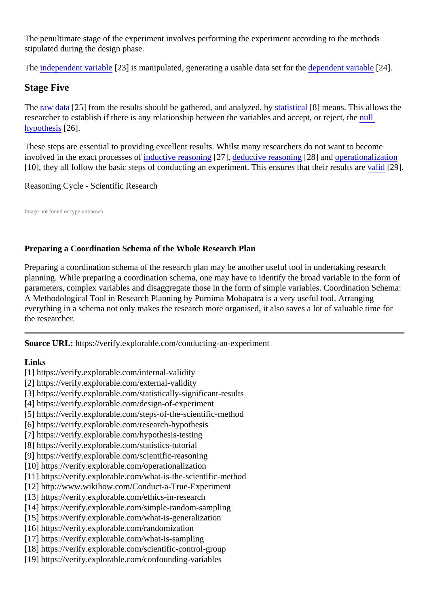The penultimate stage of the experiment involves performing the experiment according to the methods stipulated during the design phase.

The [independent variab](https://verify.explorable.com/independent-variable)le 23] is manipulated, generating a usable data set for the pendent variable 24].

### Stage Five

The [raw data](https://verify.explorable.com/raw-data-processing)<sup>[25]</sup> from the results should be gathered, and analyzestal by stical<sup>[8]</sup> means. This allows the researcher to establish if there is any relationship between the variables and accept, or rejulct, the [hypothesi](https://verify.explorable.com/null-hypothesis)s<sup>26</sup>].

These steps are essential to providing excellent results. Whilst many researchers do not want to become involved in the exact processesimuluctive reasonint<sub>[27]</sub>, [deductive reasonin](https://verify.explorable.com/deductive-reasoning)<sup>[28]</sup> an[d operationalizatio](https://verify.explorable.com/operationalization)n [10], they all follow the basic steps of conducting an experiment. This ensures that their re[sults](https://verify.explorable.com/types-of-validity) [208].

#### Reasoning Cycle - Scientific Research

Image not found or type unknown

#### Preparing a Coordination Schema of the Whole Research Plan

Preparing a coordination schema of the research plan may be another useful tool in undertaking research planning. While preparing a coordination schema, one may have to identify the broad variable in the form parameters, complex variables and disaggregate those in the form of simple variables. Coordination Sche A Methodological Tool in Research Planning by Purnima Mohapatra is a very useful tool. Arranging everything in a schema not only makes the research more organised, it also saves a lot of valuable time for the researcher.

Source URL: https://verify.explorable.com/conducting-an-experiment

Links

- [1] https://verify.explorable.com/internal-validity
- [2] https://verify.explorable.com/external-validity
- [3] https://verify.explorable.com/statistically-significant-results
- [4] https://verify.explorable.com/design-of-experiment
- [5] https://verify.explorable.com/steps-of-the-scientific-method
- [6] https://verify.explorable.com/research-hypothesis
- [7] https://verify.explorable.com/hypothesis-testing
- [8] https://verify.explorable.com/statistics-tutorial
- [9] https://verify.explorable.com/scientific-reasoning
- [10] https://verify.explorable.com/operationalization
- [11] https://verify.explorable.com/what-is-the-scientific-method
- [12] http://www.wikihow.com/Conduct-a-True-Experiment
- [13] https://verify.explorable.com/ethics-in-research
- [14] https://verify.explorable.com/simple-random-sampling
- [15] https://verify.explorable.com/what-is-generalization
- [16] https://verify.explorable.com/randomization
- [17] https://verify.explorable.com/what-is-sampling
- [18] https://verify.explorable.com/scientific-control-group
- [19] https://verify.explorable.com/confounding-variables